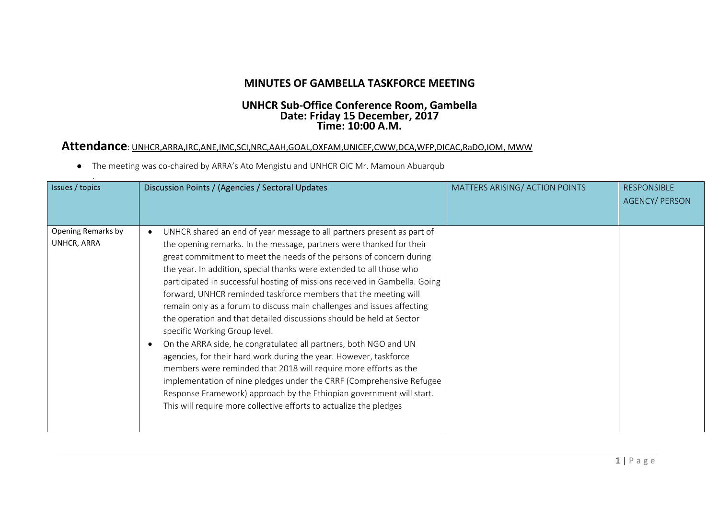## **MINUTES OF GAMBELLA TASKFORCE MEETING**

## **UNHCR Sub-Office Conference Room, Gambella Date: Friday 15 December, 2017 Time: 10:00 A.M.**

## **Attendance**: UNHCR,ARRA,IRC,ANE,IMC,SCI,NRC,AAH,GOAL,OXFAM,UNICEF,CWW,DCA,WFP,DICAC,RaDO,IOM, MWW

The meeting was co-chaired by ARRA's Ato Mengistu and UNHCR OiC Mr. Mamoun Abuarqub

| Issues / topics                   | Discussion Points / (Agencies / Sectoral Updates                                                                                                                                                                                                                                                                                                                                                                                                                                                                                                                                                                                                                                                                                                                                                                                                                                                                                                                                                                                                                     | MATTERS ARISING/ ACTION POINTS | <b>RESPONSIBLE</b><br><b>AGENCY/PERSON</b> |
|-----------------------------------|----------------------------------------------------------------------------------------------------------------------------------------------------------------------------------------------------------------------------------------------------------------------------------------------------------------------------------------------------------------------------------------------------------------------------------------------------------------------------------------------------------------------------------------------------------------------------------------------------------------------------------------------------------------------------------------------------------------------------------------------------------------------------------------------------------------------------------------------------------------------------------------------------------------------------------------------------------------------------------------------------------------------------------------------------------------------|--------------------------------|--------------------------------------------|
| Opening Remarks by<br>UNHCR, ARRA | UNHCR shared an end of year message to all partners present as part of<br>the opening remarks. In the message, partners were thanked for their<br>great commitment to meet the needs of the persons of concern during<br>the year. In addition, special thanks were extended to all those who<br>participated in successful hosting of missions received in Gambella. Going<br>forward, UNHCR reminded taskforce members that the meeting will<br>remain only as a forum to discuss main challenges and issues affecting<br>the operation and that detailed discussions should be held at Sector<br>specific Working Group level.<br>On the ARRA side, he congratulated all partners, both NGO and UN<br>agencies, for their hard work during the year. However, taskforce<br>members were reminded that 2018 will require more efforts as the<br>implementation of nine pledges under the CRRF (Comprehensive Refugee<br>Response Framework) approach by the Ethiopian government will start.<br>This will require more collective efforts to actualize the pledges |                                |                                            |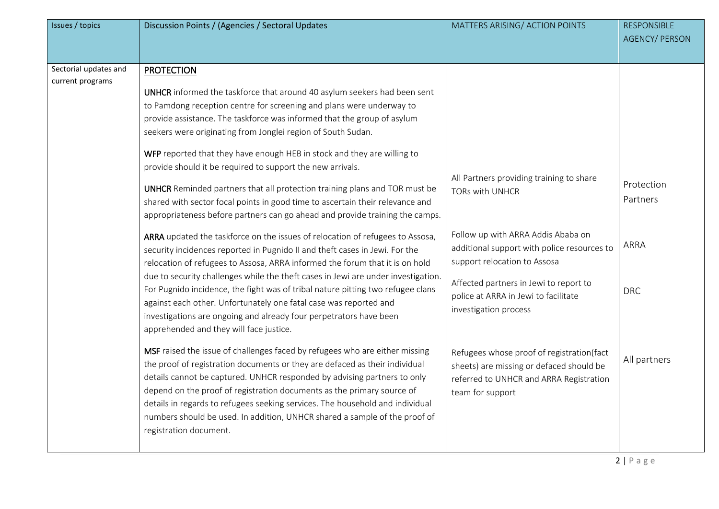| Sectorial updates and<br><b>PROTECTION</b><br>current programs<br>UNHCR informed the taskforce that around 40 asylum seekers had been sent<br>to Pamdong reception centre for screening and plans were underway to<br>provide assistance. The taskforce was informed that the group of asylum<br>seekers were originating from Jonglei region of South Sudan.<br>WFP reported that they have enough HEB in stock and they are willing to<br>provide should it be required to support the new arrivals.<br>All Partners providing training to share<br>Protection<br><b>UNHCR</b> Reminded partners that all protection training plans and TOR must be<br><b>TORs with UNHCR</b><br>Partners<br>shared with sector focal points in good time to ascertain their relevance and<br>appropriateness before partners can go ahead and provide training the camps.<br>Follow up with ARRA Addis Ababa on<br>ARRA updated the taskforce on the issues of relocation of refugees to Assosa,<br>ARRA<br>additional support with police resources to<br>security incidences reported in Pugnido II and theft cases in Jewi. For the<br>support relocation to Assosa<br>relocation of refugees to Assosa, ARRA informed the forum that it is on hold<br>due to security challenges while the theft cases in Jewi are under investigation.<br>Affected partners in Jewi to report to<br>For Pugnido incidence, the fight was of tribal nature pitting two refugee clans<br><b>DRC</b><br>police at ARRA in Jewi to facilitate<br>against each other. Unfortunately one fatal case was reported and<br>investigation process<br>investigations are ongoing and already four perpetrators have been<br>apprehended and they will face justice.<br>MSF raised the issue of challenges faced by refugees who are either missing<br>Refugees whose proof of registration(fact<br>All partners<br>the proof of registration documents or they are defaced as their individual<br>sheets) are missing or defaced should be<br>details cannot be captured. UNHCR responded by advising partners to only<br>referred to UNHCR and ARRA Registration | Issues / topics | Discussion Points / (Agencies / Sectoral Updates                       | MATTERS ARISING/ ACTION POINTS | <b>RESPONSIBLE</b><br><b>AGENCY/ PERSON</b> |
|--------------------------------------------------------------------------------------------------------------------------------------------------------------------------------------------------------------------------------------------------------------------------------------------------------------------------------------------------------------------------------------------------------------------------------------------------------------------------------------------------------------------------------------------------------------------------------------------------------------------------------------------------------------------------------------------------------------------------------------------------------------------------------------------------------------------------------------------------------------------------------------------------------------------------------------------------------------------------------------------------------------------------------------------------------------------------------------------------------------------------------------------------------------------------------------------------------------------------------------------------------------------------------------------------------------------------------------------------------------------------------------------------------------------------------------------------------------------------------------------------------------------------------------------------------------------------------------------------------------------------------------------------------------------------------------------------------------------------------------------------------------------------------------------------------------------------------------------------------------------------------------------------------------------------------------------------------------------------------------------------------------------------------------------------------------------------------------------------------------------------------|-----------------|------------------------------------------------------------------------|--------------------------------|---------------------------------------------|
| details in regards to refugees seeking services. The household and individual<br>numbers should be used. In addition, UNHCR shared a sample of the proof of<br>registration document.                                                                                                                                                                                                                                                                                                                                                                                                                                                                                                                                                                                                                                                                                                                                                                                                                                                                                                                                                                                                                                                                                                                                                                                                                                                                                                                                                                                                                                                                                                                                                                                                                                                                                                                                                                                                                                                                                                                                          |                 | depend on the proof of registration documents as the primary source of | team for support               |                                             |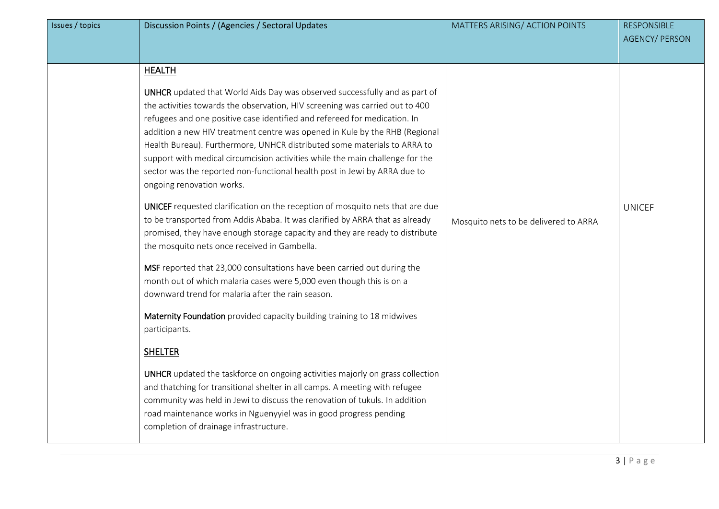| Issues / topics | Discussion Points / (Agencies / Sectoral Updates                                                                                                                                                                                                                                                                                                                                                                                                                                                                                                                                                                                                                                                                                                                                                                                                                                                                                                                                                                                                                                                                                                                                                                                                                                                                                                                                                                                                                                                                                                                                                    | MATTERS ARISING/ ACTION POINTS        | <b>RESPONSIBLE</b><br><b>AGENCY/ PERSON</b> |
|-----------------|-----------------------------------------------------------------------------------------------------------------------------------------------------------------------------------------------------------------------------------------------------------------------------------------------------------------------------------------------------------------------------------------------------------------------------------------------------------------------------------------------------------------------------------------------------------------------------------------------------------------------------------------------------------------------------------------------------------------------------------------------------------------------------------------------------------------------------------------------------------------------------------------------------------------------------------------------------------------------------------------------------------------------------------------------------------------------------------------------------------------------------------------------------------------------------------------------------------------------------------------------------------------------------------------------------------------------------------------------------------------------------------------------------------------------------------------------------------------------------------------------------------------------------------------------------------------------------------------------------|---------------------------------------|---------------------------------------------|
|                 | <b>HEALTH</b><br>UNHCR updated that World Aids Day was observed successfully and as part of<br>the activities towards the observation, HIV screening was carried out to 400<br>refugees and one positive case identified and refereed for medication. In<br>addition a new HIV treatment centre was opened in Kule by the RHB (Regional<br>Health Bureau). Furthermore, UNHCR distributed some materials to ARRA to<br>support with medical circumcision activities while the main challenge for the<br>sector was the reported non-functional health post in Jewi by ARRA due to<br>ongoing renovation works.<br>UNICEF requested clarification on the reception of mosquito nets that are due<br>to be transported from Addis Ababa. It was clarified by ARRA that as already<br>promised, they have enough storage capacity and they are ready to distribute<br>the mosquito nets once received in Gambella.<br>MSF reported that 23,000 consultations have been carried out during the<br>month out of which malaria cases were 5,000 even though this is on a<br>downward trend for malaria after the rain season.<br>Maternity Foundation provided capacity building training to 18 midwives<br>participants.<br><b>SHELTER</b><br>UNHCR updated the taskforce on ongoing activities majorly on grass collection<br>and thatching for transitional shelter in all camps. A meeting with refugee<br>community was held in Jewi to discuss the renovation of tukuls. In addition<br>road maintenance works in Nguenyyiel was in good progress pending<br>completion of drainage infrastructure. | Mosquito nets to be delivered to ARRA | <b>UNICEF</b>                               |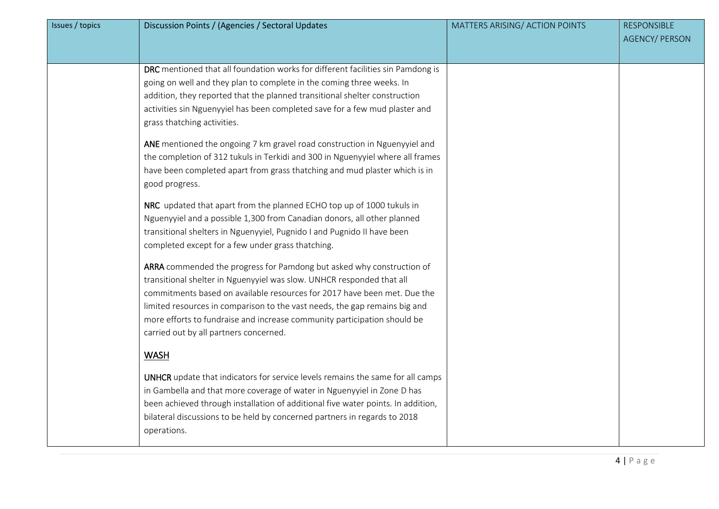| Issues / topics | Discussion Points / (Agencies / Sectoral Updates                                                                                                                                                                                                                                                                                                                                                                                                                                                                                                                                                                                                                                                                                                                                                                                                                                                                                                                                 | MATTERS ARISING/ ACTION POINTS | <b>RESPONSIBLE</b><br><b>AGENCY/ PERSON</b> |
|-----------------|----------------------------------------------------------------------------------------------------------------------------------------------------------------------------------------------------------------------------------------------------------------------------------------------------------------------------------------------------------------------------------------------------------------------------------------------------------------------------------------------------------------------------------------------------------------------------------------------------------------------------------------------------------------------------------------------------------------------------------------------------------------------------------------------------------------------------------------------------------------------------------------------------------------------------------------------------------------------------------|--------------------------------|---------------------------------------------|
|                 | DRC mentioned that all foundation works for different facilities sin Pamdong is<br>going on well and they plan to complete in the coming three weeks. In<br>addition, they reported that the planned transitional shelter construction<br>activities sin Nguenyyiel has been completed save for a few mud plaster and<br>grass thatching activities.<br>ANE mentioned the ongoing 7 km gravel road construction in Nguenyyiel and<br>the completion of 312 tukuls in Terkidi and 300 in Nguenyyiel where all frames<br>have been completed apart from grass thatching and mud plaster which is in<br>good progress.<br>NRC updated that apart from the planned ECHO top up of 1000 tukuls in<br>Nguenyyiel and a possible 1,300 from Canadian donors, all other planned<br>transitional shelters in Nguenyyiel, Pugnido I and Pugnido II have been<br>completed except for a few under grass thatching.<br>ARRA commended the progress for Pamdong but asked why construction of |                                |                                             |
|                 | transitional shelter in Nguenyyiel was slow. UNHCR responded that all<br>commitments based on available resources for 2017 have been met. Due the<br>limited resources in comparison to the vast needs, the gap remains big and<br>more efforts to fundraise and increase community participation should be<br>carried out by all partners concerned.<br><b>WASH</b><br>UNHCR update that indicators for service levels remains the same for all camps                                                                                                                                                                                                                                                                                                                                                                                                                                                                                                                           |                                |                                             |
|                 | in Gambella and that more coverage of water in Nguenyyiel in Zone D has<br>been achieved through installation of additional five water points. In addition,<br>bilateral discussions to be held by concerned partners in regards to 2018<br>operations.                                                                                                                                                                                                                                                                                                                                                                                                                                                                                                                                                                                                                                                                                                                          |                                |                                             |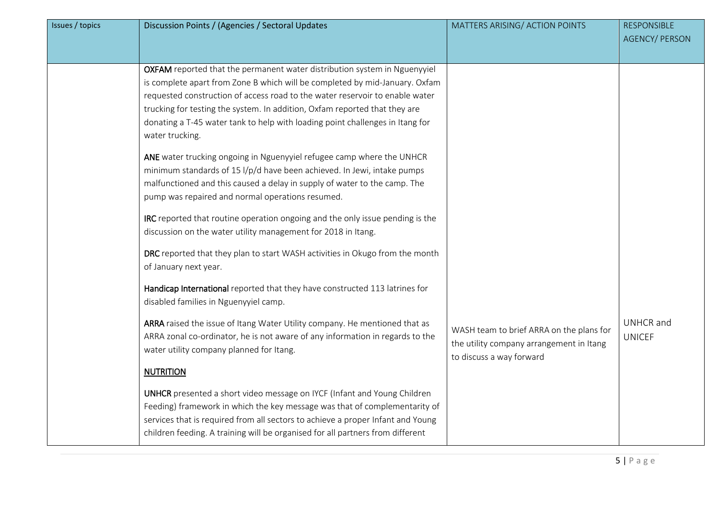| Discussion Points / (Agencies / Sectoral Updates<br>Issues / topics                                                                                                                                                                                                                                                                                                                                                                                                                                                                                                                                                                                                                                                                                                                                                                                                                                                                                                                                                                                                                                                                                                                                                                                                                                                                                                                                                                                                                                                                                                                                                                                                     | MATTERS ARISING/ ACTION POINTS                                                                                   | <b>RESPONSIBLE</b><br><b>AGENCY/ PERSON</b> |
|-------------------------------------------------------------------------------------------------------------------------------------------------------------------------------------------------------------------------------------------------------------------------------------------------------------------------------------------------------------------------------------------------------------------------------------------------------------------------------------------------------------------------------------------------------------------------------------------------------------------------------------------------------------------------------------------------------------------------------------------------------------------------------------------------------------------------------------------------------------------------------------------------------------------------------------------------------------------------------------------------------------------------------------------------------------------------------------------------------------------------------------------------------------------------------------------------------------------------------------------------------------------------------------------------------------------------------------------------------------------------------------------------------------------------------------------------------------------------------------------------------------------------------------------------------------------------------------------------------------------------------------------------------------------------|------------------------------------------------------------------------------------------------------------------|---------------------------------------------|
| OXFAM reported that the permanent water distribution system in Nguenyyiel<br>is complete apart from Zone B which will be completed by mid-January. Oxfam<br>requested construction of access road to the water reservoir to enable water<br>trucking for testing the system. In addition, Oxfam reported that they are<br>donating a T-45 water tank to help with loading point challenges in Itang for<br>water trucking.<br>ANE water trucking ongoing in Nguenyyiel refugee camp where the UNHCR<br>minimum standards of 15 l/p/d have been achieved. In Jewi, intake pumps<br>malfunctioned and this caused a delay in supply of water to the camp. The<br>pump was repaired and normal operations resumed.<br>IRC reported that routine operation ongoing and the only issue pending is the<br>discussion on the water utility management for 2018 in Itang.<br>DRC reported that they plan to start WASH activities in Okugo from the month<br>of January next year.<br>Handicap International reported that they have constructed 113 latrines for<br>disabled families in Nguenyyiel camp.<br>ARRA raised the issue of Itang Water Utility company. He mentioned that as<br>ARRA zonal co-ordinator, he is not aware of any information in regards to the<br>water utility company planned for Itang.<br><b>NUTRITION</b><br><b>UNHCR</b> presented a short video message on IYCF (Infant and Young Children<br>Feeding) framework in which the key message was that of complementarity of<br>services that is required from all sectors to achieve a proper Infant and Young<br>children feeding. A training will be organised for all partners from different | WASH team to brief ARRA on the plans for<br>the utility company arrangement in Itang<br>to discuss a way forward | <b>UNHCR</b> and<br><b>UNICEF</b>           |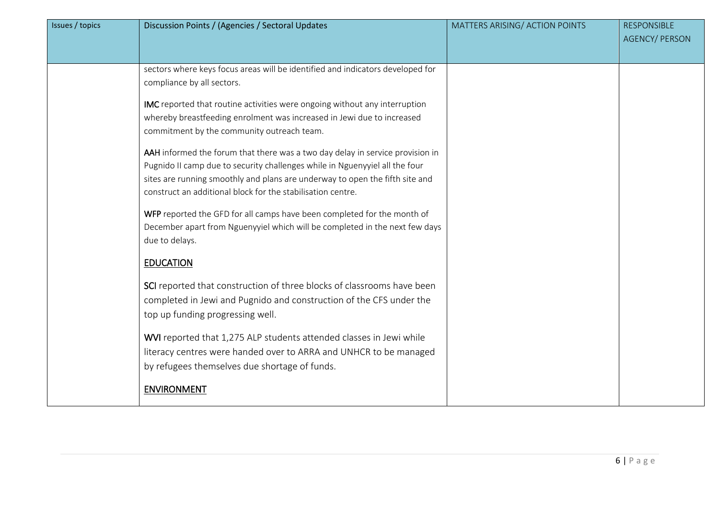| Issues / topics | Discussion Points / (Agencies / Sectoral Updates                               | MATTERS ARISING/ ACTION POINTS | <b>RESPONSIBLE</b><br><b>AGENCY/ PERSON</b> |
|-----------------|--------------------------------------------------------------------------------|--------------------------------|---------------------------------------------|
|                 |                                                                                |                                |                                             |
|                 | sectors where keys focus areas will be identified and indicators developed for |                                |                                             |
|                 | compliance by all sectors.                                                     |                                |                                             |
|                 | IMC reported that routine activities were ongoing without any interruption     |                                |                                             |
|                 | whereby breastfeeding enrolment was increased in Jewi due to increased         |                                |                                             |
|                 | commitment by the community outreach team.                                     |                                |                                             |
|                 | AAH informed the forum that there was a two day delay in service provision in  |                                |                                             |
|                 | Pugnido II camp due to security challenges while in Nguenyyiel all the four    |                                |                                             |
|                 | sites are running smoothly and plans are underway to open the fifth site and   |                                |                                             |
|                 | construct an additional block for the stabilisation centre.                    |                                |                                             |
|                 | WFP reported the GFD for all camps have been completed for the month of        |                                |                                             |
|                 | December apart from Nguenyyiel which will be completed in the next few days    |                                |                                             |
|                 | due to delays.                                                                 |                                |                                             |
|                 | <b>EDUCATION</b>                                                               |                                |                                             |
|                 | SCI reported that construction of three blocks of classrooms have been         |                                |                                             |
|                 | completed in Jewi and Pugnido and construction of the CFS under the            |                                |                                             |
|                 | top up funding progressing well.                                               |                                |                                             |
|                 | WVI reported that 1,275 ALP students attended classes in Jewi while            |                                |                                             |
|                 | literacy centres were handed over to ARRA and UNHCR to be managed              |                                |                                             |
|                 | by refugees themselves due shortage of funds.                                  |                                |                                             |
|                 | <b>ENVIRONMENT</b>                                                             |                                |                                             |
|                 |                                                                                |                                |                                             |